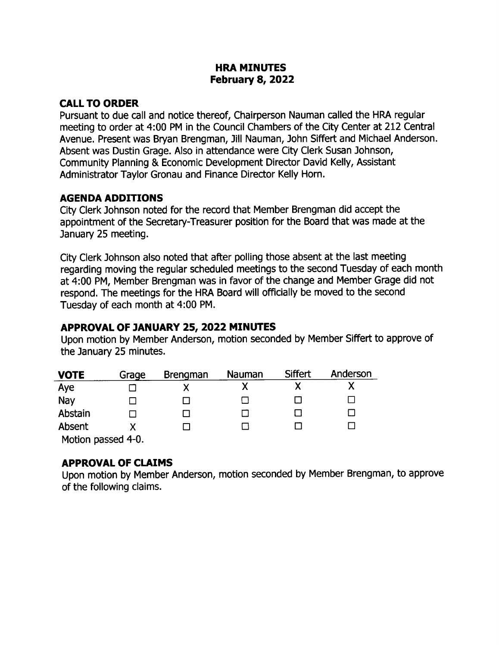### HRA MINUTES February 8, 2022

## CALL TO ORDER

Pursuant to due call and notice thereof, Chairperson Nauman called the HRA regular meeting to order at 4: 00 PM in the Council Chambers of the City Center at 212 Central Avenue. Present was Bryan Brengman, Jill Nauman, ] ohn Siffert and Michael Anderson. Absent was Dustin Grage. Also in attendance were City Clerk Susan Johnson, Community Planning & Economic Development Director David Kelly, Assistant Administrator Taylor Gronau and Finance Director Kelly Horn.

### AGENDA ADDITIONS

City Clerk Johnson noted for the record that Member Brengman did accept the appointment of the Secretary-Treasurer position for the Board that was made at the January 25 meeting.

City Clerk Johnson also noted that after polling those absent at the last meeting regarding moving the regular scheduled meetings to the second Tuesday of each month at 4: 00 PM, Member Brengman was in favor of the change and Member Grage did not respond. The meetings for the HRA Board will officially be moved to the second Tuesday of each month at 4:00 PM.

# APPROVAL OF 7ANUARY 25, 2022 MINUTES

Upon motion by Member Anderson, motion seconded by Member Siffert to approve of the January 25 minutes.

| <b>VOTE</b>       | Grage | <b>Brengman</b> | Nauman | <b>Siffert</b> | Anderson |
|-------------------|-------|-----------------|--------|----------------|----------|
| Aye               |       |                 |        |                |          |
| Nay               |       |                 |        |                |          |
| Abstain           |       |                 |        |                |          |
| Absent            |       |                 |        |                |          |
| Motion naccod 4-0 |       |                 |        |                |          |

Motion passed 4-0.

### APPROVAL OF CLAIMS

Upon motion by Member Anderson, motion seconded by Member Brengman, to approve of the following claims.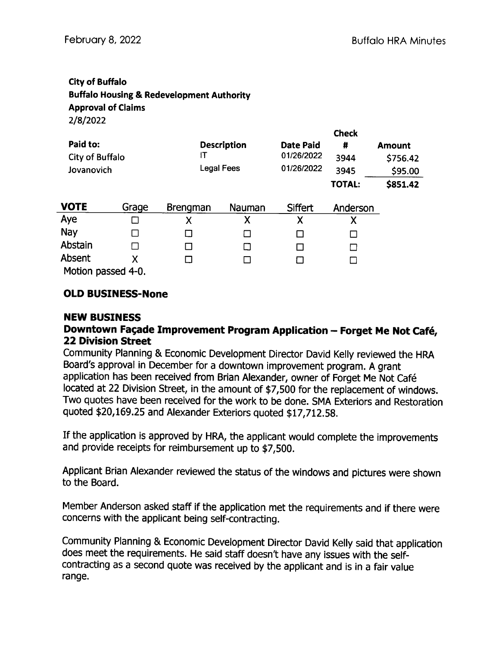### City of Buffalo Buffalo Housing& Redevelopment Authority Approval of Claims 2/8/2022

|                                           |       |                 | Check                                   |                                              |                                    |                                                  |
|-------------------------------------------|-------|-----------------|-----------------------------------------|----------------------------------------------|------------------------------------|--------------------------------------------------|
| Paid to:<br>City of Buffalo<br>Jovanovich |       | IT              | <b>Description</b><br><b>Legal Fees</b> | <b>Date Paid</b><br>01/26/2022<br>01/26/2022 | #<br>3944<br>3945<br><b>TOTAL:</b> | <b>Amount</b><br>\$756.42<br>\$95.00<br>\$851.42 |
| <b>VOTE</b>                               | Grage | <b>Brengman</b> | Nauman                                  | Siffert                                      | Anderson                           |                                                  |
| Aye                                       |       | Χ               | Χ                                       | Χ                                            | Χ                                  |                                                  |
| <b>Nay</b>                                |       |                 | П                                       | H                                            | П                                  |                                                  |
| Abstain                                   |       | П               | □                                       |                                              |                                    |                                                  |
| Absent                                    | Χ     | □               | П                                       |                                              | $\mathsf{I}$                       |                                                  |
| Motion passed 4-0.                        |       |                 |                                         |                                              |                                    |                                                  |

# **OLD BUSINESS-None**

### NEW BUSINESS

### Downtown Façade Improvement Program Application - Forget Me Not Café, 22 Division Street

Community Planning & Economic Development Director David Kelly reviewed the HRA Board's approval in December for a downtown improvement program. A grant application has been received from Brian Alexander, owner of Forget Me Not Cafe located at 22 Division Street, in the amount of \$7, 500 for the replacement of windows. Two quotes have been received for the work to be done. SMA Exteriors and Restoration quoted \$20,169.25 and Alexander Exteriors quoted \$17,712.58.

If the application is approved by HRA, the applicant would complete the improvements and provide receipts for reimbursement up to \$7,500.

Applicant Brian Alexander reviewed the status of the windows and pictures were shown to the Board.

Member Anderson asked staff if the application met the requirements and if there were concerns with the applicant being self-contracting.

Community Planning & Economic Development Director David Kelly said that application does meet the requirements. He said staff doesn't have any issues with the selfcontracting as a second quote was received by the applicant and is in a fair value range.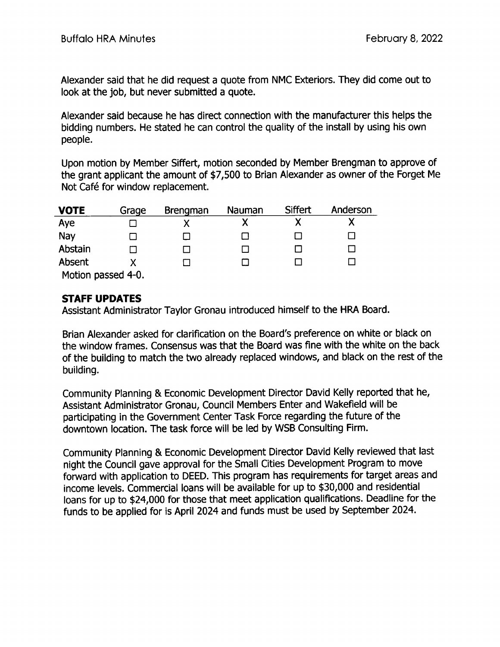Alexander said that he did request a quote from NMC Exteriors. They did come out to look at the job, but never submitted a quote.

Alexander said because he has direct connection with the manufacturer this helps the bidding numbers. He stated he can control the quality of the install by using his own people.

Upon motion by Member Siffert, motion seconded by Member Brengman to approve of the grant applicant the amount of \$7, 500 to Brian Alexander as owner of the Forget Me Not Café for window replacement.

| <b>VOTE</b>        | Grage | <b>Brengman</b> | Nauman | Siffert | Anderson |
|--------------------|-------|-----------------|--------|---------|----------|
| Aye                |       |                 |        |         |          |
| Nay                |       |                 |        |         |          |
| Abstain            |       |                 |        |         |          |
| Absent             |       |                 |        |         |          |
| Motion passed 4-0. |       |                 |        |         |          |

Motion passed 4-0.

## STAFF UPDATES

Assistant Administrator Taylor Gronau introduced himself to the HRA Board.

Brian Alexander asked for clarification on the Board's preference on white or black on the window frames. Consensus was that the Board was fine with the white on the back of the building to match the two already replaced windows, and black on the rest of the building.

Community Planning & Economic Development Director David Kelly reported that he, Assistant Administrator Gronau, Council Members Enter and Wakefield will be participating in the Government Center Task Force regarding the future of the downtown location. The task force will be led by WSB Consulting Firm.

Community Planning & Economic Development Director David Kelly reviewed that last night the Council gave approval for the Small Cities Development Program to move forward with application to DEED. This program has requirements for target areas and income levels. Commercial loans will be available for up to \$30, 000 and residential loans for up to \$24,000 for those that meet application qualifications. Deadline for the funds to be applied for is April 2024 and funds must be used by September 2024.